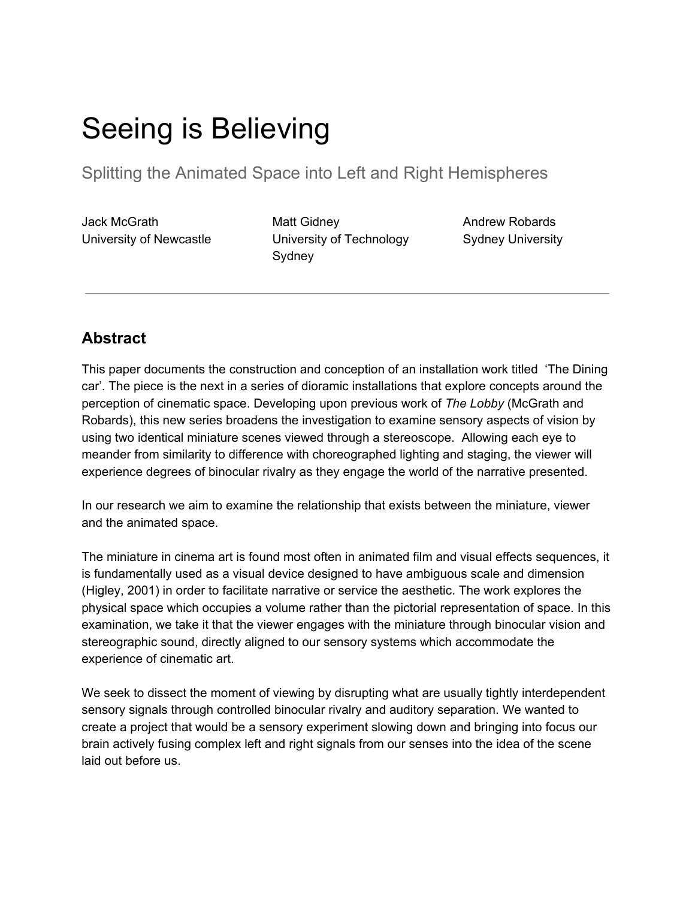# Seeing is Believing

Splitting the Animated Space into Left and Right Hemispheres

Jack McGrath University of Newcastle

Matt Gidney University of Technology Sydney

Andrew Robards Sydney University

# **Abstract**

This paper documents the construction and conception of an installation work titled 'The Dining car'. The piece is the next in a series of dioramic installations that explore concepts around the perception of cinematic space. Developing upon previous work of *The Lobby* (McGrath and Robards), this new series broadens the investigation to examine sensory aspects of vision by using two identical miniature scenes viewed through a stereoscope. Allowing each eye to meander from similarity to difference with choreographed lighting and staging, the viewer will experience degrees of binocular rivalry as they engage the world of the narrative presented.

In our research we aim to examine the relationship that exists between the miniature, viewer and the animated space.

The miniature in cinema art is found most often in animated film and visual effects sequences, it is fundamentally used as a visual device designed to have ambiguous scale and dimension (Higley, 2001) in order to facilitate narrative or service the aesthetic. The work explores the physical space which occupies a volume rather than the pictorial representation of space. In this examination, we take it that the viewer engages with the miniature through binocular vision and stereographic sound, directly aligned to our sensory systems which accommodate the experience of cinematic art.

We seek to dissect the moment of viewing by disrupting what are usually tightly interdependent sensory signals through controlled binocular rivalry and auditory separation. We wanted to create a project that would be a sensory experiment slowing down and bringing into focus our brain actively fusing complex left and right signals from our senses into the idea of the scene laid out before us.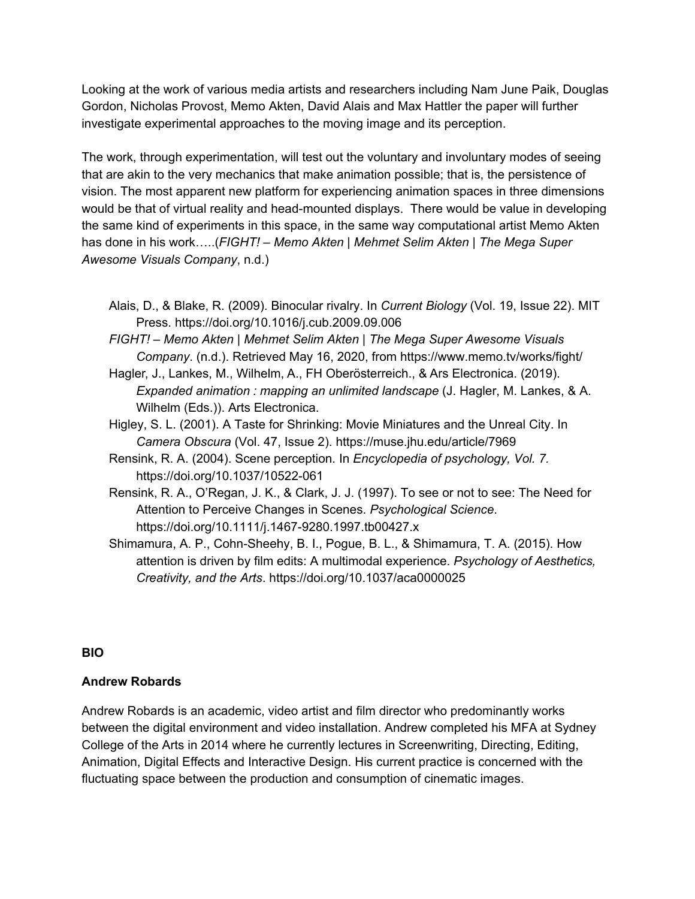Looking at the work of various media artists and researchers including Nam June Paik, Douglas Gordon, Nicholas Provost, Memo Akten, David Alais and Max Hattler the paper will further investigate experimental approaches to the moving image and its perception.

The work, through experimentation, will test out the voluntary and involuntary modes of seeing that are akin to the very mechanics that make animation possible; that is, the persistence of vision. The most apparent new platform for experiencing animation spaces in three dimensions would be that of virtual reality and head-mounted displays. There would be value in developing the same kind of experiments in this space, in the same way computational artist Memo Akten has done in his work…..(*FIGHT! – Memo Akten | Mehmet Selim Akten | The Mega Super Awesome Visuals Company*, n.d.)

- Alais, D., & Blake, R. (2009). Binocular rivalry. In *Current Biology* (Vol. 19, Issue 22). MIT Press. https://doi.org/10.1016/j.cub.2009.09.006
- *FIGHT! – Memo Akten | Mehmet Selim Akten | The Mega Super Awesome Visuals Company*. (n.d.). Retrieved May 16, 2020, from https://www.memo.tv/works/fight/
- Hagler, J., Lankes, M., Wilhelm, A., FH Oberösterreich., & Ars Electronica. (2019). *Expanded animation : mapping an unlimited landscape* (J. Hagler, M. Lankes, & A. Wilhelm (Eds.)). Arts Electronica.
- Higley, S. L. (2001). A Taste for Shrinking: Movie Miniatures and the Unreal City. In *Camera Obscura* (Vol. 47, Issue 2). https://muse.jhu.edu/article/7969
- Rensink, R. A. (2004). Scene perception. In *Encyclopedia of psychology, Vol. 7.* https://doi.org/10.1037/10522-061
- Rensink, R. A., O'Regan, J. K., & Clark, J. J. (1997). To see or not to see: The Need for Attention to Perceive Changes in Scenes. *Psychological Science*. https://doi.org/10.1111/j.1467-9280.1997.tb00427.x
- Shimamura, A. P., Cohn-Sheehy, B. I., Pogue, B. L., & Shimamura, T. A. (2015). How attention is driven by film edits: A multimodal experience. *Psychology of Aesthetics, Creativity, and the Arts*. https://doi.org/10.1037/aca0000025

## **BIO**

## **Andrew Robards**

Andrew Robards is an academic, video artist and film director who predominantly works between the digital environment and video installation. Andrew completed his MFA at Sydney College of the Arts in 2014 where he currently lectures in Screenwriting, Directing, Editing, Animation, Digital Effects and Interactive Design. His current practice is concerned with the fluctuating space between the production and consumption of cinematic images.